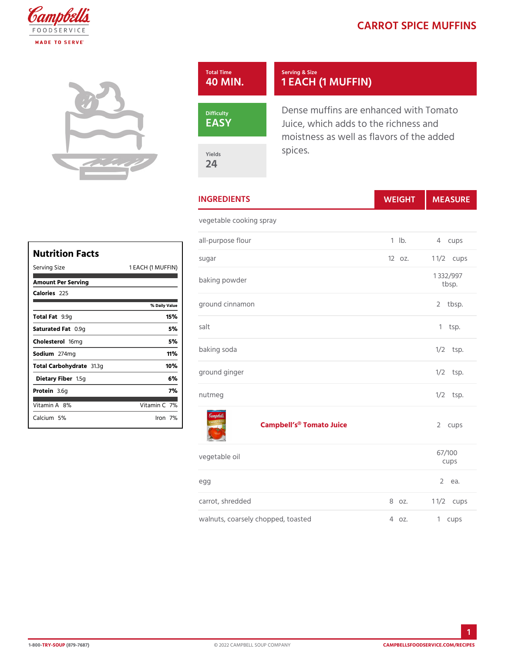## CARROT SPICE MU

| Total Time<br>40 MIN. | Serving & Size<br>1 EACH (1 MUFFIN)                                                                  |
|-----------------------|------------------------------------------------------------------------------------------------------|
| Difficulty<br>EASY    | Dense muffins are enhanced wit<br>Juice, which adds to the richne<br>moistness as well as flavors of |
| Yields<br>24          | spices.                                                                                              |

INGREDIENTS WEIGH MEASU

vegetable cooking spray

|            | all-purpose flour               | $1$ $1b$ . | 4 cups                  |
|------------|---------------------------------|------------|-------------------------|
|            | sugar                           | $120z$ .   | 1 $1/2$ cups            |
| (1)        | $M$ UFF $+N$ )<br>baking powder |            | 1 332/997<br>$tb$ sp.   |
| ily Value  | ground cinnamon                 |            | tbsp.<br>$\overline{2}$ |
| 15%<br>5 % | salt                            |            | $1$ tsp.                |
| 5 %<br>11% | baking soda                     |            | $1/2$ tsp.              |
| 10%<br>6 % | ground ginger                   |            | $1/2$ tsp.              |
| 7 %        | nutmeg                          |            | $1/2$ tsp.              |
| in7©o      |                                 |            |                         |

Campbell s<sup>®</sup> Tomato Juice 2 cups

| vegetable oil                            |  | 67/100<br>cups    |
|------------------------------------------|--|-------------------|
| e g g                                    |  | 2 еа.             |
| carrot, shredded                         |  | $8$ oz. $1/2$ ups |
| walnuts, coarsely chopped, toasted 4 oz. |  | 1 cups            |

| Nutrition Facts     |                   | s u c |
|---------------------|-------------------|-------|
| Serving Size        | 1 EACH (1 MUFFIN) |       |
| Amount Per Serving  |                   | baŀ   |
| Calorie2s25         |                   |       |
|                     | % Daily Value     | gro   |
| Total F9at9g        | 15%               |       |
| Saturated 0F. @m.p  | 5 %               | sal   |
| Choleste folm g     | 5 %               |       |
| Sodium274mg         | 11%               | baŀ   |
| Total Carbohy&1fa3g | 10%               |       |
| Dietary F1ib5egr    | 6%                | g r o |
| Protei <b>a</b> .6g | 7%                | n u t |
| Vitamin8A%          | Vitamin7 <b>%</b> |       |
| Calciu5m%           | lron 7%l          |       |
|                     |                   |       |